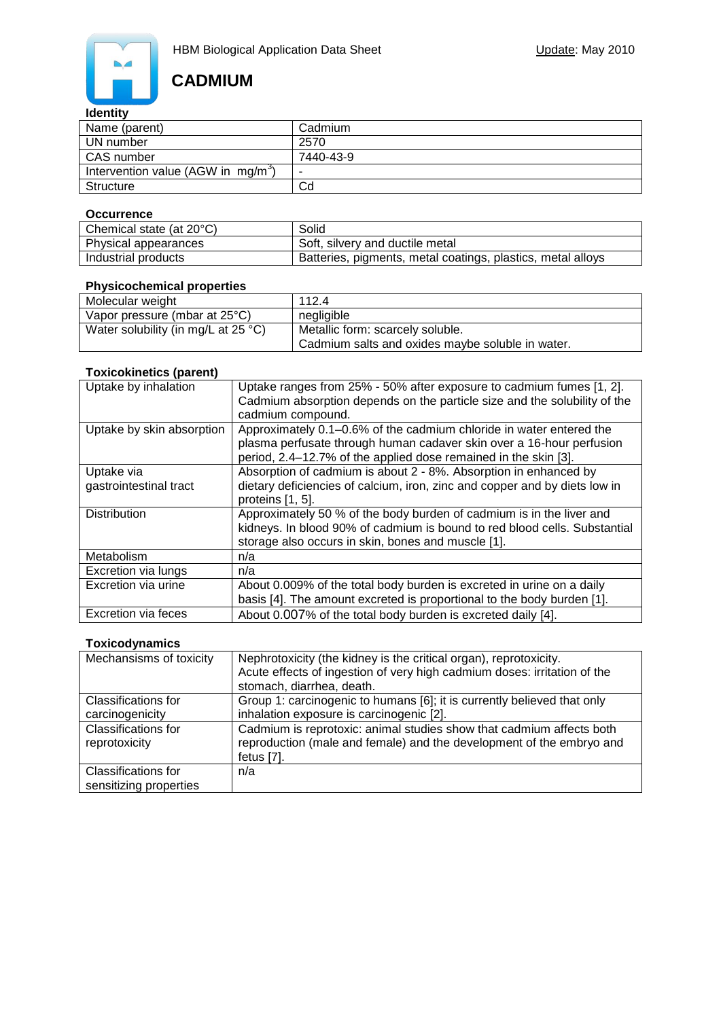

# **CADMIUM**

# **Identity**

| Name (parent)                         | Cadmium   |
|---------------------------------------|-----------|
| UN number                             | 2570      |
| CAS number                            | 7440-43-9 |
| Intervention value (AGW in $mg/m^3$ ) | -         |
| Structure                             | Cd        |

#### **Occurrence**

| Chemical state (at 20°C) | Solid                                                       |
|--------------------------|-------------------------------------------------------------|
| Physical appearances     | Soft, silvery and ductile metal                             |
| Industrial products      | Batteries, pigments, metal coatings, plastics, metal alloys |

#### **Physicochemical properties**

| Molecular weight                              | 112.4                                            |
|-----------------------------------------------|--------------------------------------------------|
| Vapor pressure (mbar at 25°C)                 | negligible                                       |
| Water solubility (in mg/L at 25 $^{\circ}$ C) | Metallic form: scarcely soluble.                 |
|                                               | Cadmium salts and oxides maybe soluble in water. |

#### **Toxicokinetics (parent)**

| Uptake by inhalation                 | Uptake ranges from 25% - 50% after exposure to cadmium fumes [1, 2].<br>Cadmium absorption depends on the particle size and the solubility of the<br>cadmium compound.                                         |
|--------------------------------------|----------------------------------------------------------------------------------------------------------------------------------------------------------------------------------------------------------------|
| Uptake by skin absorption            | Approximately 0.1–0.6% of the cadmium chloride in water entered the<br>plasma perfusate through human cadaver skin over a 16-hour perfusion<br>period, 2.4–12.7% of the applied dose remained in the skin [3]. |
| Uptake via<br>gastrointestinal tract | Absorption of cadmium is about 2 - 8%. Absorption in enhanced by<br>dietary deficiencies of calcium, iron, zinc and copper and by diets low in<br>proteins [1, 5].                                             |
| <b>Distribution</b>                  | Approximately 50 % of the body burden of cadmium is in the liver and<br>kidneys. In blood 90% of cadmium is bound to red blood cells. Substantial<br>storage also occurs in skin, bones and muscle [1].        |
| Metabolism                           | n/a                                                                                                                                                                                                            |
| Excretion via lungs                  | n/a                                                                                                                                                                                                            |
| Excretion via urine                  | About 0.009% of the total body burden is excreted in urine on a daily<br>basis [4]. The amount excreted is proportional to the body burden [1].                                                                |
| <b>Excretion via feces</b>           | About 0.007% of the total body burden is excreted daily [4].                                                                                                                                                   |

#### **Toxicodynamics**

| Mechansisms of toxicity                       | Nephrotoxicity (the kidney is the critical organ), reprotoxicity.<br>Acute effects of ingestion of very high cadmium doses: irritation of the<br>stomach, diarrhea, death. |
|-----------------------------------------------|----------------------------------------------------------------------------------------------------------------------------------------------------------------------------|
| Classifications for                           | Group 1: carcinogenic to humans [6]; it is currently believed that only                                                                                                    |
| carcinogenicity                               | inhalation exposure is carcinogenic [2].                                                                                                                                   |
| <b>Classifications for</b><br>reprotoxicity   | Cadmium is reprotoxic: animal studies show that cadmium affects both<br>reproduction (male and female) and the development of the embryo and<br>fetus [7].                 |
| Classifications for<br>sensitizing properties | n/a                                                                                                                                                                        |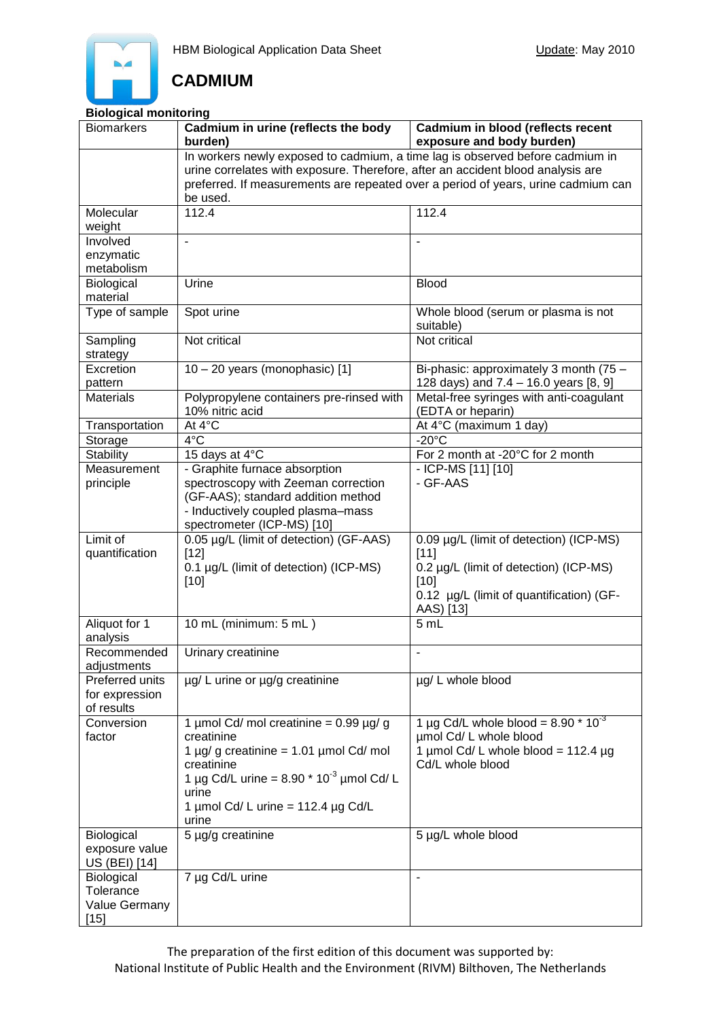

**CADMIUM** 

# **Biological monitoring**

| <b>Biomarkers</b> | Cadmium in urine (reflects the body                                                                                                                                  | Cadmium in blood (reflects recent        |  |
|-------------------|----------------------------------------------------------------------------------------------------------------------------------------------------------------------|------------------------------------------|--|
|                   | burden)                                                                                                                                                              | exposure and body burden)                |  |
|                   | In workers newly exposed to cadmium, a time lag is observed before cadmium in                                                                                        |                                          |  |
|                   | urine correlates with exposure. Therefore, after an accident blood analysis are<br>preferred. If measurements are repeated over a period of years, urine cadmium can |                                          |  |
|                   | be used.                                                                                                                                                             |                                          |  |
| Molecular         | 112.4                                                                                                                                                                | 112.4                                    |  |
| weight            |                                                                                                                                                                      |                                          |  |
| Involved          | $\overline{\phantom{a}}$                                                                                                                                             | $\overline{\phantom{a}}$                 |  |
| enzymatic         |                                                                                                                                                                      |                                          |  |
| metabolism        |                                                                                                                                                                      |                                          |  |
| Biological        | Urine                                                                                                                                                                | <b>Blood</b>                             |  |
| material          |                                                                                                                                                                      |                                          |  |
| Type of sample    | Spot urine                                                                                                                                                           | Whole blood (serum or plasma is not      |  |
|                   |                                                                                                                                                                      | suitable)                                |  |
| Sampling          | Not critical                                                                                                                                                         | Not critical                             |  |
| strategy          |                                                                                                                                                                      |                                          |  |
| Excretion         | $10 - 20$ years (monophasic) [1]                                                                                                                                     | Bi-phasic: approximately 3 month (75 -   |  |
| pattern           |                                                                                                                                                                      | 128 days) and 7.4 - 16.0 years [8, 9]    |  |
| <b>Materials</b>  | Polypropylene containers pre-rinsed with                                                                                                                             | Metal-free syringes with anti-coagulant  |  |
|                   | 10% nitric acid                                                                                                                                                      | (EDTA or heparin)                        |  |
| Transportation    | At 4°C                                                                                                                                                               | At 4°C (maximum 1 day)                   |  |
| Storage           | 4°C                                                                                                                                                                  | $-20^{\circ}$ C                          |  |
| <b>Stability</b>  | 15 days at 4°C                                                                                                                                                       | For 2 month at -20°C for 2 month         |  |
| Measurement       | - Graphite furnace absorption                                                                                                                                        | - ICP-MS [11] [10]                       |  |
| principle         | spectroscopy with Zeeman correction                                                                                                                                  | - GF-AAS                                 |  |
|                   | (GF-AAS); standard addition method                                                                                                                                   |                                          |  |
|                   | - Inductively coupled plasma-mass                                                                                                                                    |                                          |  |
|                   | spectrometer (ICP-MS) [10]                                                                                                                                           |                                          |  |
| Limit of          | 0.05 µg/L (limit of detection) (GF-AAS)                                                                                                                              | 0.09 µg/L (limit of detection) (ICP-MS)  |  |
| quantification    | $[12]$                                                                                                                                                               | [11]                                     |  |
|                   | 0.1 µg/L (limit of detection) (ICP-MS)                                                                                                                               | 0.2 µg/L (limit of detection) (ICP-MS)   |  |
|                   | $[10]$                                                                                                                                                               | $[10]$                                   |  |
|                   |                                                                                                                                                                      | 0.12 µg/L (limit of quantification) (GF- |  |
|                   |                                                                                                                                                                      | AAS) [13]                                |  |
| Aliquot for 1     | 10 mL (minimum: 5 mL)                                                                                                                                                | 5 mL                                     |  |
| analysis          |                                                                                                                                                                      |                                          |  |
| Recommended       | Urinary creatinine                                                                                                                                                   |                                          |  |
| adjustments       |                                                                                                                                                                      |                                          |  |
| Preferred units   | µg/ L urine or µg/g creatinine                                                                                                                                       | µg/ L whole blood                        |  |
| for expression    |                                                                                                                                                                      |                                          |  |
| of results        |                                                                                                                                                                      |                                          |  |
| Conversion        | 1 µmol Cd/ mol creatinine = $0.99 \mu g/g$                                                                                                                           | 1 µg Cd/L whole blood = $8.90 * 10^{-3}$ |  |
| factor            | creatinine                                                                                                                                                           | umol Cd/L whole blood                    |  |
|                   | 1 $\mu$ g/ g creatinine = 1.01 $\mu$ mol Cd/ mol                                                                                                                     | 1 µmol Cd/ L whole blood = $112.4 \mu g$ |  |
|                   | creatinine                                                                                                                                                           | Cd/L whole blood                         |  |
|                   | 1 µg Cd/L urine = $8.90 * 10^{-3}$ µmol Cd/ L                                                                                                                        |                                          |  |
|                   | urine                                                                                                                                                                |                                          |  |
|                   | 1 µmol Cd/ L urine = $112.4$ µg Cd/L                                                                                                                                 |                                          |  |
|                   | urine                                                                                                                                                                |                                          |  |
| Biological        | 5 µg/g creatinine                                                                                                                                                    | 5 µg/L whole blood                       |  |
| exposure value    |                                                                                                                                                                      |                                          |  |
| US (BEI) [14]     |                                                                                                                                                                      |                                          |  |
| Biological        | 7 µg Cd/L urine                                                                                                                                                      |                                          |  |
| Tolerance         |                                                                                                                                                                      |                                          |  |
| Value Germany     |                                                                                                                                                                      |                                          |  |
| $[15]$            |                                                                                                                                                                      |                                          |  |

The preparation of the first edition of this document was supported by: National Institute of Public Health and the Environment (RIVM) Bilthoven, The Netherlands